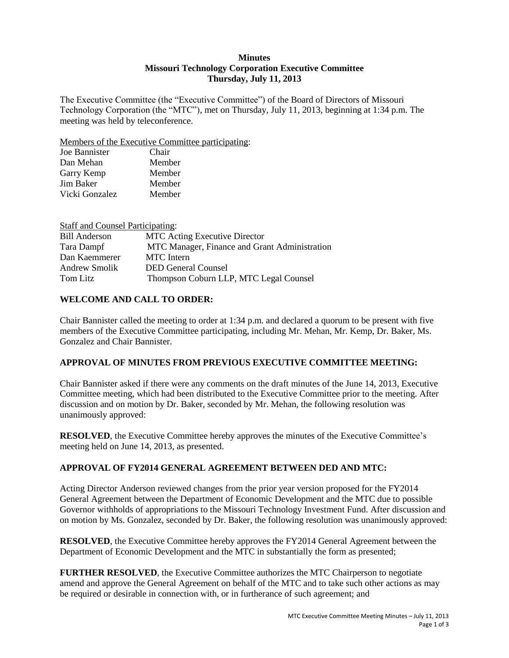#### **Minutes Missouri Technology Corporation Executive Committee Thursday, July 11, 2013**

The Executive Committee (the "Executive Committee") of the Board of Directors of Missouri Technology Corporation (the "MTC"), met on Thursday, July 11, 2013, beginning at 1:34 p.m. The meeting was held by teleconference.

Members of the Executive Committee participating:

| Chair  |
|--------|
| Member |
| Member |
| Member |
| Member |
|        |

| <b>Staff and Counsel Participating:</b> |                                               |
|-----------------------------------------|-----------------------------------------------|
| <b>Bill Anderson</b>                    | <b>MTC Acting Executive Director</b>          |
| Tara Dampf                              | MTC Manager, Finance and Grant Administration |
| Dan Kaemmerer                           | <b>MTC</b> Intern                             |
| <b>Andrew Smolik</b>                    | <b>DED General Counsel</b>                    |
| Tom Litz                                | Thompson Coburn LLP, MTC Legal Counsel        |

# **WELCOME AND CALL TO ORDER:**

Chair Bannister called the meeting to order at 1:34 p.m. and declared a quorum to be present with five members of the Executive Committee participating, including Mr. Mehan, Mr. Kemp, Dr. Baker, Ms. Gonzalez and Chair Bannister.

## **APPROVAL OF MINUTES FROM PREVIOUS EXECUTIVE COMMITTEE MEETING:**

Chair Bannister asked if there were any comments on the draft minutes of the June 14, 2013, Executive Committee meeting, which had been distributed to the Executive Committee prior to the meeting. After discussion and on motion by Dr. Baker, seconded by Mr. Mehan, the following resolution was unanimously approved:

**RESOLVED**, the Executive Committee hereby approves the minutes of the Executive Committee's meeting held on June 14, 2013, as presented.

## **APPROVAL OF FY2014 GENERAL AGREEMENT BETWEEN DED AND MTC:**

Acting Director Anderson reviewed changes from the prior year version proposed for the FY2014 General Agreement between the Department of Economic Development and the MTC due to possible Governor withholds of appropriations to the Missouri Technology Investment Fund. After discussion and on motion by Ms. Gonzalez, seconded by Dr. Baker, the following resolution was unanimously approved:

**RESOLVED**, the Executive Committee hereby approves the FY2014 General Agreement between the Department of Economic Development and the MTC in substantially the form as presented;

**FURTHER RESOLVED**, the Executive Committee authorizes the MTC Chairperson to negotiate amend and approve the General Agreement on behalf of the MTC and to take such other actions as may be required or desirable in connection with, or in furtherance of such agreement; and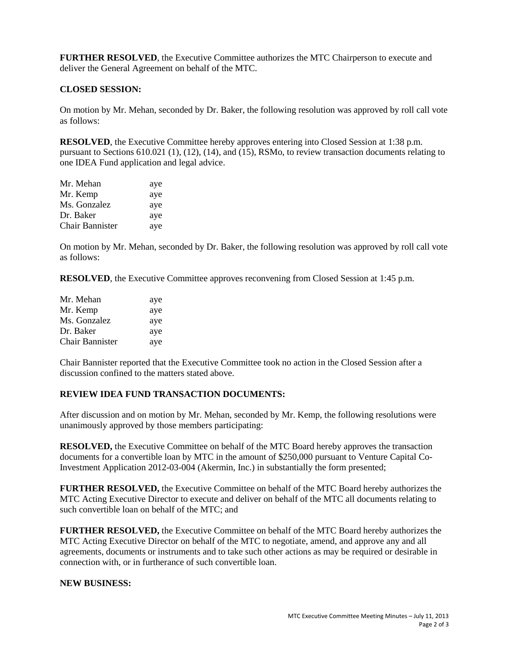**FURTHER RESOLVED**, the Executive Committee authorizes the MTC Chairperson to execute and deliver the General Agreement on behalf of the MTC.

#### **CLOSED SESSION:**

On motion by Mr. Mehan, seconded by Dr. Baker, the following resolution was approved by roll call vote as follows:

**RESOLVED**, the Executive Committee hereby approves entering into Closed Session at 1:38 p.m. pursuant to Sections 610.021 (1), (12), (14), and (15), RSMo, to review transaction documents relating to one IDEA Fund application and legal advice.

| Mr. Mehan              | aye |
|------------------------|-----|
| Mr. Kemp               | aye |
| Ms. Gonzalez           | aye |
| Dr. Baker              | aye |
| <b>Chair Bannister</b> | aye |

On motion by Mr. Mehan, seconded by Dr. Baker, the following resolution was approved by roll call vote as follows:

**RESOLVED**, the Executive Committee approves reconvening from Closed Session at 1:45 p.m.

| Mr. Mehan       | aye |
|-----------------|-----|
| Mr. Kemp        | aye |
| Ms. Gonzalez    | aye |
| Dr. Baker       | aye |
| Chair Bannister | aye |

Chair Bannister reported that the Executive Committee took no action in the Closed Session after a discussion confined to the matters stated above.

#### **REVIEW IDEA FUND TRANSACTION DOCUMENTS:**

After discussion and on motion by Mr. Mehan, seconded by Mr. Kemp, the following resolutions were unanimously approved by those members participating:

**RESOLVED,** the Executive Committee on behalf of the MTC Board hereby approves the transaction documents for a convertible loan by MTC in the amount of \$250,000 pursuant to Venture Capital Co-Investment Application 2012-03-004 (Akermin, Inc.) in substantially the form presented;

**FURTHER RESOLVED,** the Executive Committee on behalf of the MTC Board hereby authorizes the MTC Acting Executive Director to execute and deliver on behalf of the MTC all documents relating to such convertible loan on behalf of the MTC; and

**FURTHER RESOLVED,** the Executive Committee on behalf of the MTC Board hereby authorizes the MTC Acting Executive Director on behalf of the MTC to negotiate, amend, and approve any and all agreements, documents or instruments and to take such other actions as may be required or desirable in connection with, or in furtherance of such convertible loan.

#### **NEW BUSINESS:**